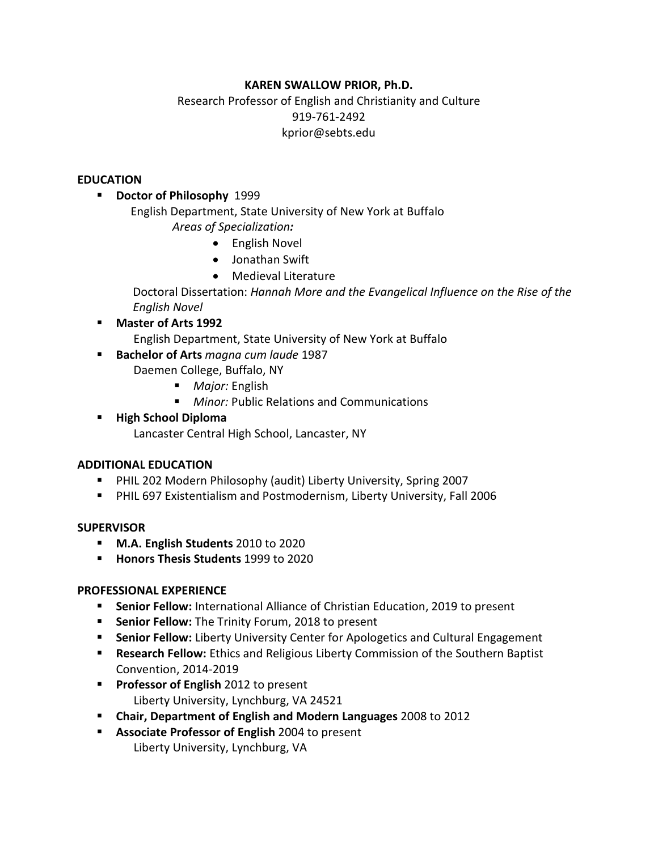### **KAREN SWALLOW PRIOR, Ph.D.**

## Research Professor of English and Christianity and Culture 919-761-2492 kprior@sebts.edu

#### **EDUCATION**

- **B** Doctor of Philosophy 1999
	- English Department, State University of New York at Buffalo *Areas of Specialization:*
		- English Novel
		- Jonathan Swift
		- Medieval Literature

Doctoral Dissertation: *Hannah More and the Evangelical Influence on the Rise of the English Novel*

- **Master of Arts 1992**
	- English Department, State University of New York at Buffalo
- **Bachelor of Arts** *magna cum laude* 1987
	- Daemen College, Buffalo, NY
		- *Major:* English
		- *Minor:* Public Relations and Communications
- **High School Diploma**
	- Lancaster Central High School, Lancaster, NY

### **ADDITIONAL EDUCATION**

- PHIL 202 Modern Philosophy (audit) Liberty University, Spring 2007
- PHIL 697 Existentialism and Postmodernism, Liberty University, Fall 2006

### **SUPERVISOR**

- **M.A. English Students** 2010 to 2020
- **Honors Thesis Students** 1999 to 2020

### **PROFESSIONAL EXPERIENCE**

- **Senior Fellow:** International Alliance of Christian Education, 2019 to present
- **Senior Fellow:** The Trinity Forum, 2018 to present
- **Senior Fellow:** Liberty University Center for Apologetics and Cultural Engagement
- **Research Fellow:** Ethics and Religious Liberty Commission of the Southern Baptist Convention, 2014-2019
- **Professor of English** 2012 to present Liberty University, Lynchburg, VA 24521
- **Chair, Department of English and Modern Languages** 2008 to 2012
- **Associate Professor of English** 2004 to present Liberty University, Lynchburg, VA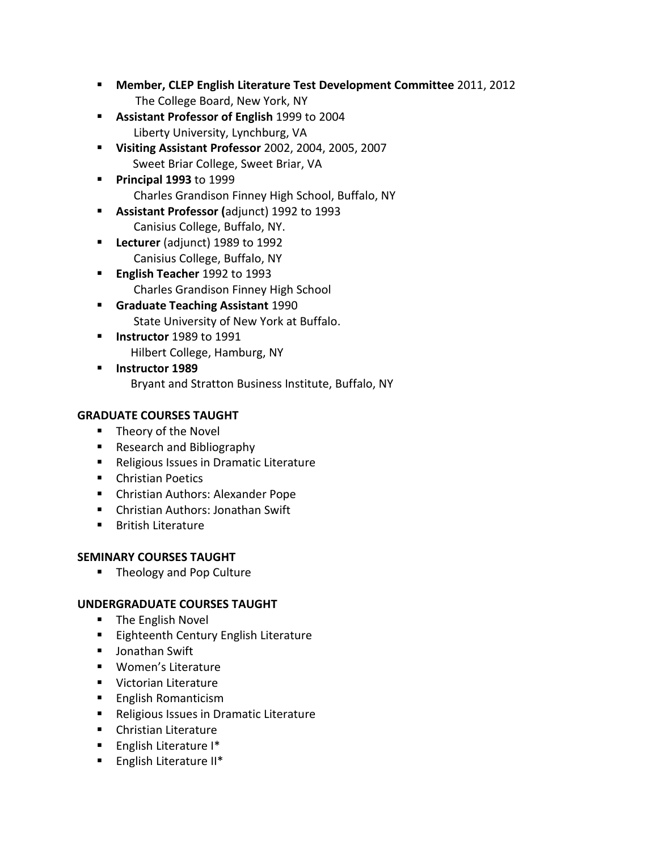- **Member, CLEP English Literature Test Development Committee** 2011, 2012 The College Board, New York, NY
- **Assistant Professor of English** 1999 to 2004 Liberty University, Lynchburg, VA
- **Visiting Assistant Professor** 2002, 2004, 2005, 2007 Sweet Briar College, Sweet Briar, VA
- **Principal 1993** to 1999 Charles Grandison Finney High School, Buffalo, NY
- **Assistant Professor (**adjunct) 1992 to 1993 Canisius College, Buffalo, NY.
- **Lecturer** (adjunct) 1989 to 1992 Canisius College, Buffalo, NY
- **English Teacher** 1992 to 1993 Charles Grandison Finney High School
- **Graduate Teaching Assistant** 1990 State University of New York at Buffalo.
- **Instructor** 1989 to 1991 Hilbert College, Hamburg, NY
- **Instructor 1989** Bryant and Stratton Business Institute, Buffalo, NY

# **GRADUATE COURSES TAUGHT**

- **Theory of the Novel**
- Research and Bibliography
- **Religious Issues in Dramatic Literature**
- **Christian Poetics**
- Christian Authors: Alexander Pope
- Christian Authors: Jonathan Swift
- **British Literature**

# **SEMINARY COURSES TAUGHT**

■ Theology and Pop Culture

# **UNDERGRADUATE COURSES TAUGHT**

- **The English Novel**
- **Eighteenth Century English Literature**
- **Jonathan Swift**
- **Women's Literature**
- **Victorian Literature**
- **English Romanticism**
- Religious Issues in Dramatic Literature
- **EXECUTE:** Christian Literature
- **English Literature I\***
- **English Literature II\***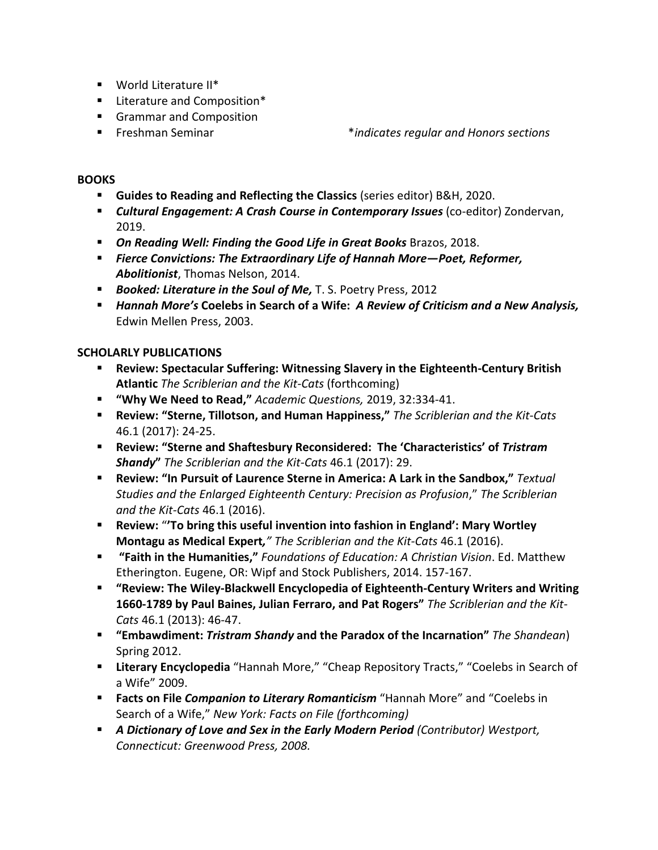- World Literature II\*
- **E** Literature and Composition\*
- Grammar and Composition
- 

Freshman Seminar \**indicates regular and Honors sections*

### **BOOKS**

- **Guides to Reading and Reflecting the Classics** (series editor) B&H, 2020.
- **EXALUTE:** Cultural Engagement: A Crash Course in Contemporary Issues (co-editor) Zondervan, 2019.
- **On Reading Well: Finding the Good Life in Great Books** Brazos, 2018.
- *Fierce Convictions: The Extraordinary Life of Hannah More—Poet, Reformer, Abolitionist*, Thomas Nelson, 2014.
- *Booked: Literature in the Soul of Me,* T. S. Poetry Press, 2012
- *Hannah More's* **Coelebs in Search of a Wife:** *A Review of Criticism and a New Analysis,*  Edwin Mellen Press, 2003.

### **SCHOLARLY PUBLICATIONS**

- **Review: Spectacular Suffering: Witnessing Slavery in the Eighteenth-Century British Atlantic** *The Scriblerian and the Kit-Cats* (forthcoming)
- **"Why We Need to Read,"** *Academic Questions,* 2019, 32:334-41.
- **Review: "Sterne, Tillotson, and Human Happiness,"** *The Scriblerian and the Kit-Cats* 46.1 (2017): 24-25.
- **Review: "Sterne and Shaftesbury Reconsidered: The 'Characteristics' of** *Tristram Shandy***"** *The Scriblerian and the Kit-Cats* 46.1 (2017): 29.
- **Review: "In Pursuit of Laurence Sterne in America: A Lark in the Sandbox,"** *Textual Studies and the Enlarged Eighteenth Century: Precision as Profusion*," *The Scriblerian and the Kit-Cats* 46.1 (2016).
- **Review:** "**'To bring this useful invention into fashion in England': Mary Wortley Montagu as Medical Expert***," The Scriblerian and the Kit-Cats* 46.1 (2016).
- **"Faith in the Humanities,"** *Foundations of Education: A Christian Vision*. Ed. Matthew Etherington. Eugene, OR: Wipf and Stock Publishers, 2014. 157-167.
- **"Review: The Wiley-Blackwell Encyclopedia of Eighteenth-Century Writers and Writing 1660-1789 by Paul Baines, Julian Ferraro, and Pat Rogers"** *The Scriblerian and the Kit-Cats* 46.1 (2013): 46-47.
- **"Embawdiment:** *Tristram Shandy* **and the Paradox of the Incarnation"** *The Shandean*) Spring 2012.
- **Literary Encyclopedia** "Hannah More," "Cheap Repository Tracts," "Coelebs in Search of a Wife" 2009.
- **Facts on File** *Companion to Literary Romanticism* "Hannah More" and "Coelebs in Search of a Wife," *New York: Facts on File (forthcoming)*
- *A Dictionary of Love and Sex in the Early Modern Period (Contributor) Westport, Connecticut: Greenwood Press, 2008.*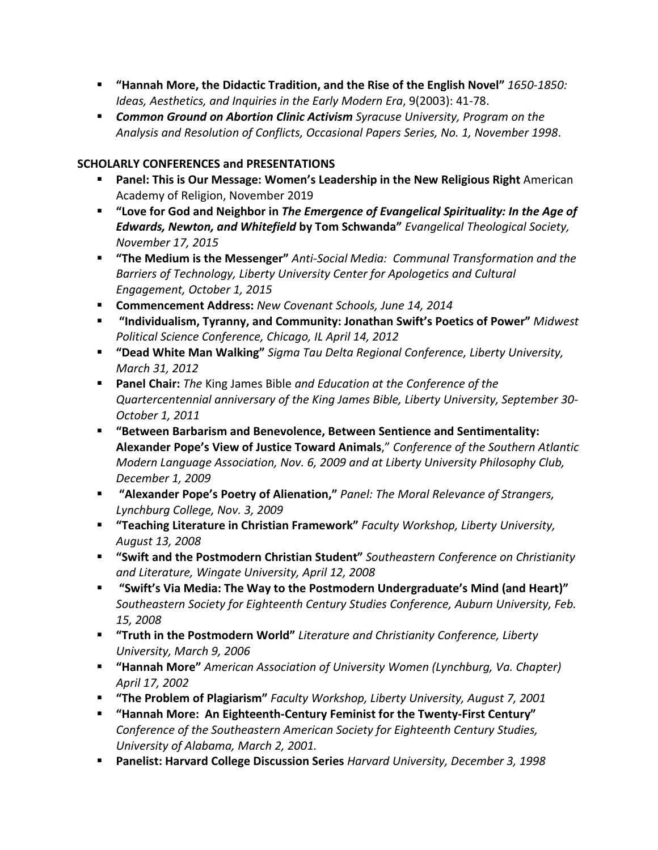- **"Hannah More, the Didactic Tradition, and the Rise of the English Novel"** *1650-1850: Ideas, Aesthetics, and Inquiries in the Early Modern Era*, 9(2003): 41-78.
- *Common Ground on Abortion Clinic Activism Syracuse University, Program on the Analysis and Resolution of Conflicts, Occasional Papers Series, No. 1, November 1998*.

## **SCHOLARLY CONFERENCES and PRESENTATIONS**

- **Panel: This is Our Message: Women's Leadership in the New Religious Right** American Academy of Religion, November 2019
- **"Love for God and Neighbor in** *The Emergence of Evangelical Spirituality: In the Age of Edwards, Newton, and Whitefield* **by Tom Schwanda"** *Evangelical Theological Society, November 17, 2015*
- **"The Medium is the Messenger"** *Anti-Social Media: Communal Transformation and the Barriers of Technology, Liberty University Center for Apologetics and Cultural Engagement, October 1, 2015*
- **Commencement Address:** *New Covenant Schools, June 14, 2014*
- **"Individualism, Tyranny, and Community: Jonathan Swift's Poetics of Power"** *Midwest Political Science Conference, Chicago, IL April 14, 2012*
- **"Dead White Man Walking"** *Sigma Tau Delta Regional Conference, Liberty University, March 31, 2012*
- **Panel Chair:** *The* King James Bible *and Education at the Conference of the Quartercentennial anniversary of the King James Bible, Liberty University, September 30- October 1, 2011*
- **"Between Barbarism and Benevolence, Between Sentience and Sentimentality: Alexander Pope's View of Justice Toward Animals**," *Conference of the Southern Atlantic Modern Language Association, Nov. 6, 2009 and at Liberty University Philosophy Club, December 1, 2009*
- **"Alexander Pope's Poetry of Alienation,"** *Panel: The Moral Relevance of Strangers, Lynchburg College, Nov. 3, 2009*
- **"Teaching Literature in Christian Framework"** *Faculty Workshop, Liberty University, August 13, 2008*
- **"Swift and the Postmodern Christian Student"** *Southeastern Conference on Christianity and Literature, Wingate University, April 12, 2008*
- **"Swift's Via Media: The Way to the Postmodern Undergraduate's Mind (and Heart)"**  *Southeastern Society for Eighteenth Century Studies Conference, Auburn University, Feb. 15, 2008*
- **"Truth in the Postmodern World"** *Literature and Christianity Conference, Liberty University, March 9, 2006*
- **"Hannah More"** *American Association of University Women (Lynchburg, Va. Chapter) April 17, 2002*
- **"The Problem of Plagiarism"** *Faculty Workshop, Liberty University, August 7, 2001*
- **"Hannah More: An Eighteenth-Century Feminist for the Twenty-First Century"** *Conference of the Southeastern American Society for Eighteenth Century Studies, University of Alabama, March 2, 2001.*
- **Panelist: Harvard College Discussion Series** *Harvard University, December 3, 1998*